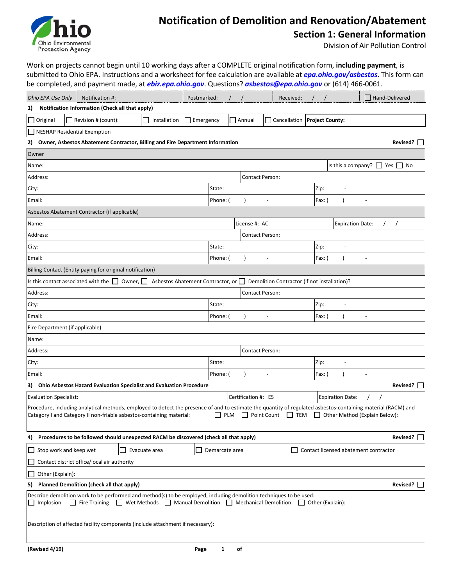

## **Notification of Demolition and Renovation/Abatement**

**Section 1: General Information** 

Division of Air Pollution Control

Work on projects cannot begin until 10 working days after a COMPLETE original notification form, **including payment**, is submitted to Ohio EPA. Instructions and a worksheet for fee calculation are available at *[epa.ohio.gov/asbestos](http://epa.ohio.gov/asbestos)*. This form can be completed, and payment made, at *[ebiz.epa.ohio.gov](https://ebiz.epa.ohio.gov/)*. Questions? *[asbestos@epa.ohio.gov](mailto:asbestos@epa.ohio.gov)* or (614) 466-0061.

| Ohio EPA Use Only                                                                                                                                                                                                                                                                                                              | Notification #:                                           |                                                                                       | Postmarked:      |              |                 |                                       | Received:           |                         |                        |                           |  | Hand-Delivered |          |  |
|--------------------------------------------------------------------------------------------------------------------------------------------------------------------------------------------------------------------------------------------------------------------------------------------------------------------------------|-----------------------------------------------------------|---------------------------------------------------------------------------------------|------------------|--------------|-----------------|---------------------------------------|---------------------|-------------------------|------------------------|---------------------------|--|----------------|----------|--|
| Notification Information (Check all that apply)<br>1)                                                                                                                                                                                                                                                                          |                                                           |                                                                                       |                  |              |                 |                                       |                     |                         |                        |                           |  |                |          |  |
| $\Box$ Original                                                                                                                                                                                                                                                                                                                | Revision # (count):                                       | Installation                                                                          | $\Box$ Emergency |              | Annual          |                                       | $\Box$ Cancellation |                         | <b>Project County:</b> |                           |  |                |          |  |
|                                                                                                                                                                                                                                                                                                                                | NESHAP Residential Exemption                              |                                                                                       |                  |              |                 |                                       |                     |                         |                        |                           |  |                |          |  |
| Owner, Asbestos Abatement Contractor, Billing and Fire Department Information<br>Revised?<br>2)                                                                                                                                                                                                                                |                                                           |                                                                                       |                  |              |                 |                                       |                     |                         |                        |                           |  |                |          |  |
| Owner                                                                                                                                                                                                                                                                                                                          |                                                           |                                                                                       |                  |              |                 |                                       |                     |                         |                        |                           |  |                |          |  |
| Name:                                                                                                                                                                                                                                                                                                                          |                                                           |                                                                                       |                  |              |                 |                                       |                     |                         |                        | Is this a company? $\Box$ |  | Yes     No     |          |  |
| Address:                                                                                                                                                                                                                                                                                                                       |                                                           |                                                                                       |                  |              |                 | Contact Person:                       |                     |                         |                        |                           |  |                |          |  |
| City:                                                                                                                                                                                                                                                                                                                          |                                                           |                                                                                       |                  | State:       |                 |                                       |                     |                         | Zip:                   |                           |  |                |          |  |
| Email:                                                                                                                                                                                                                                                                                                                         |                                                           |                                                                                       | Phone: (         |              |                 |                                       |                     | Fax: (                  |                        |                           |  |                |          |  |
| Asbestos Abatement Contractor (if applicable)                                                                                                                                                                                                                                                                                  |                                                           |                                                                                       |                  |              |                 |                                       |                     |                         |                        |                           |  |                |          |  |
| Name:                                                                                                                                                                                                                                                                                                                          |                                                           |                                                                                       |                  |              | License #: AC   |                                       |                     | <b>Expiration Date:</b> |                        |                           |  |                |          |  |
| Address:                                                                                                                                                                                                                                                                                                                       |                                                           |                                                                                       |                  |              | Contact Person: |                                       |                     |                         |                        |                           |  |                |          |  |
| City:                                                                                                                                                                                                                                                                                                                          |                                                           |                                                                                       | State:           | Zip:         |                 |                                       |                     |                         |                        |                           |  |                |          |  |
| Email:                                                                                                                                                                                                                                                                                                                         |                                                           |                                                                                       |                  | Phone: (     |                 |                                       |                     |                         | Fax: (                 |                           |  |                |          |  |
|                                                                                                                                                                                                                                                                                                                                | Billing Contact (Entity paying for original notification) |                                                                                       |                  |              |                 |                                       |                     |                         |                        |                           |  |                |          |  |
| Its this contact associated with the $\Box$ Owner, $\Box$ Asbestos Abatement Contractor, or $\Box$ Demolition Contractor (if not installation)?                                                                                                                                                                                |                                                           |                                                                                       |                  |              |                 |                                       |                     |                         |                        |                           |  |                |          |  |
| Contact Person:<br>Address:                                                                                                                                                                                                                                                                                                    |                                                           |                                                                                       |                  |              |                 |                                       |                     |                         |                        |                           |  |                |          |  |
| City:                                                                                                                                                                                                                                                                                                                          |                                                           |                                                                                       |                  | State:       |                 |                                       |                     |                         | Zip:                   |                           |  |                |          |  |
| Email:                                                                                                                                                                                                                                                                                                                         |                                                           |                                                                                       |                  | Phone: (     |                 |                                       |                     |                         | Fax: (                 |                           |  |                |          |  |
|                                                                                                                                                                                                                                                                                                                                | Fire Department (if applicable)                           |                                                                                       |                  |              |                 |                                       |                     |                         |                        |                           |  |                |          |  |
| Name:                                                                                                                                                                                                                                                                                                                          |                                                           |                                                                                       |                  |              |                 |                                       |                     |                         |                        |                           |  |                |          |  |
| Address:                                                                                                                                                                                                                                                                                                                       |                                                           |                                                                                       |                  |              |                 | Contact Person:                       |                     |                         |                        |                           |  |                |          |  |
| City:                                                                                                                                                                                                                                                                                                                          |                                                           |                                                                                       | State:           |              |                 |                                       |                     | Zip:                    |                        |                           |  |                |          |  |
| Email:                                                                                                                                                                                                                                                                                                                         |                                                           |                                                                                       |                  | Phone: (     |                 |                                       |                     |                         | Fax: (                 |                           |  |                |          |  |
| Revised?  <br>3) Ohio Asbestos Hazard Evaluation Specialist and Evaluation Procedure                                                                                                                                                                                                                                           |                                                           |                                                                                       |                  |              |                 |                                       |                     |                         |                        |                           |  |                |          |  |
| Certification #: ES<br><b>Evaluation Specialist:</b><br><b>Expiration Date:</b>                                                                                                                                                                                                                                                |                                                           |                                                                                       |                  |              |                 |                                       |                     |                         |                        |                           |  |                |          |  |
| Procedure, including analytical methods, employed to detect the presence of and to estimate the quantity of regulated asbestos-containing material (RACM) and<br>$\Box$ Point Count $\Box$ TEM<br>PLM<br>Other Method (Explain Below):<br>Category I and Category II non-friable asbestos-containing material:<br>$\mathsf{L}$ |                                                           |                                                                                       |                  |              |                 |                                       |                     |                         |                        |                           |  |                |          |  |
| 4)                                                                                                                                                                                                                                                                                                                             |                                                           | Procedures to be followed should unexpected RACM be discovered (check all that apply) |                  |              |                 |                                       |                     |                         |                        |                           |  |                | Revised? |  |
| Stop work and keep wet                                                                                                                                                                                                                                                                                                         | Demarcate area                                            |                                                                                       |                  |              |                 | Contact licensed abatement contractor |                     |                         |                        |                           |  |                |          |  |
| Contact district office/local air authority                                                                                                                                                                                                                                                                                    |                                                           |                                                                                       |                  |              |                 |                                       |                     |                         |                        |                           |  |                |          |  |
| Other (Explain):                                                                                                                                                                                                                                                                                                               |                                                           |                                                                                       |                  |              |                 |                                       |                     |                         |                        |                           |  |                |          |  |
| Planned Demolition (check all that apply)<br>Revised?<br>5)                                                                                                                                                                                                                                                                    |                                                           |                                                                                       |                  |              |                 |                                       |                     |                         |                        |                           |  |                |          |  |
| Describe demolition work to be performed and method(s) to be employed, including demolition techniques to be used:<br>Fire Training Wet Methods Manual Demolition Mechanical Demolition<br>    Implosion<br>$\Box$ Other (Explain):                                                                                            |                                                           |                                                                                       |                  |              |                 |                                       |                     |                         |                        |                           |  |                |          |  |
| Description of affected facility components (include attachment if necessary):                                                                                                                                                                                                                                                 |                                                           |                                                                                       |                  |              |                 |                                       |                     |                         |                        |                           |  |                |          |  |
| (Revised 4/19)                                                                                                                                                                                                                                                                                                                 |                                                           |                                                                                       | Page             | $\mathbf{1}$ | of              |                                       |                     |                         |                        |                           |  |                |          |  |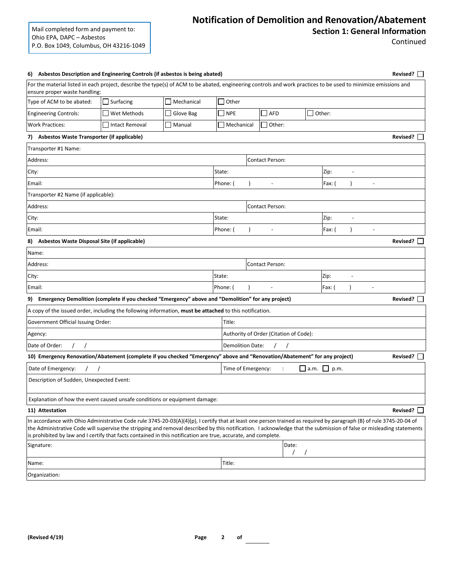Mail completed form and payment to: Ohio EPA, DAPC – Asbestos P.O. Box 1049, Columbus, OH 43216-1049

## **Notification of Demolition and Renovation/Abatement**

**Section 1: General Information** 

Continued

| For the material listed in each project, describe the type(s) of ACM to be abated, engineering controls and work practices to be used to minimize emissions and<br>ensure proper waste handling:                                                                                                                                                                                                                                                              |                         |                                        |     |                        |       |                         |  |  | Revised?        |  |
|---------------------------------------------------------------------------------------------------------------------------------------------------------------------------------------------------------------------------------------------------------------------------------------------------------------------------------------------------------------------------------------------------------------------------------------------------------------|-------------------------|----------------------------------------|-----|------------------------|-------|-------------------------|--|--|-----------------|--|
|                                                                                                                                                                                                                                                                                                                                                                                                                                                               |                         |                                        |     |                        |       |                         |  |  |                 |  |
| Type of ACM to be abated:<br>Surfacing<br>Mechanical                                                                                                                                                                                                                                                                                                                                                                                                          |                         | Other                                  |     |                        |       |                         |  |  |                 |  |
| Wet Methods<br>Glove Bag<br><b>Engineering Controls:</b>                                                                                                                                                                                                                                                                                                                                                                                                      |                         | $\Box$ NPE                             | AFD |                        |       | $\Box$ Other:           |  |  |                 |  |
| □ Intact Removal<br>$\Box$ Manual<br><b>Work Practices:</b>                                                                                                                                                                                                                                                                                                                                                                                                   |                         | Mechanical                             |     | $\Box$ Other:          |       |                         |  |  |                 |  |
| 7) Asbestos Waste Transporter (if applicable)                                                                                                                                                                                                                                                                                                                                                                                                                 |                         |                                        |     |                        |       |                         |  |  | Revised?        |  |
| Transporter #1 Name:                                                                                                                                                                                                                                                                                                                                                                                                                                          |                         |                                        |     |                        |       |                         |  |  |                 |  |
| Address:                                                                                                                                                                                                                                                                                                                                                                                                                                                      |                         |                                        |     | Contact Person:        |       |                         |  |  |                 |  |
| City:                                                                                                                                                                                                                                                                                                                                                                                                                                                         |                         | State:                                 |     |                        |       | Zip:                    |  |  |                 |  |
| Email:                                                                                                                                                                                                                                                                                                                                                                                                                                                        |                         | Phone: (                               |     |                        |       | Fax: (                  |  |  |                 |  |
| Transporter #2 Name (if applicable):                                                                                                                                                                                                                                                                                                                                                                                                                          |                         |                                        |     |                        |       |                         |  |  |                 |  |
| Address:                                                                                                                                                                                                                                                                                                                                                                                                                                                      |                         |                                        |     | <b>Contact Person:</b> |       |                         |  |  |                 |  |
| City:                                                                                                                                                                                                                                                                                                                                                                                                                                                         |                         | State:                                 |     |                        |       | Zip:                    |  |  |                 |  |
| Email:                                                                                                                                                                                                                                                                                                                                                                                                                                                        |                         | Phone: (                               |     |                        |       | Fax: (                  |  |  |                 |  |
| 8) Asbestos Waste Disposal Site (if applicable)                                                                                                                                                                                                                                                                                                                                                                                                               |                         |                                        |     |                        |       |                         |  |  | Revised?        |  |
| Name:                                                                                                                                                                                                                                                                                                                                                                                                                                                         |                         |                                        |     |                        |       |                         |  |  |                 |  |
| Address:                                                                                                                                                                                                                                                                                                                                                                                                                                                      |                         | Contact Person:                        |     |                        |       |                         |  |  |                 |  |
| City:                                                                                                                                                                                                                                                                                                                                                                                                                                                         |                         | State:                                 |     |                        |       | Zip:                    |  |  |                 |  |
| Email:                                                                                                                                                                                                                                                                                                                                                                                                                                                        |                         | Phone: (                               |     |                        |       | Fax: $($                |  |  |                 |  |
| 9) Emergency Demolition (complete if you checked "Emergency" above and "Demolition" for any project)                                                                                                                                                                                                                                                                                                                                                          |                         |                                        |     |                        |       |                         |  |  | Revised?        |  |
| A copy of the issued order, including the following information, must be attached to this notification.                                                                                                                                                                                                                                                                                                                                                       |                         |                                        |     |                        |       |                         |  |  |                 |  |
| Government Official Issuing Order:                                                                                                                                                                                                                                                                                                                                                                                                                            |                         | Title:                                 |     |                        |       |                         |  |  |                 |  |
| Agency:                                                                                                                                                                                                                                                                                                                                                                                                                                                       |                         | Authority of Order (Citation of Code): |     |                        |       |                         |  |  |                 |  |
| Date of Order:<br>$\prime$                                                                                                                                                                                                                                                                                                                                                                                                                                    | <b>Demolition Date:</b> |                                        |     |                        |       |                         |  |  |                 |  |
| 10) Emergency Renovation/Abatement (complete if you checked "Emergency" above and "Renovation/Abatement" for any project)                                                                                                                                                                                                                                                                                                                                     |                         |                                        |     |                        |       |                         |  |  | Revised?        |  |
| Date of Emergency:                                                                                                                                                                                                                                                                                                                                                                                                                                            |                         | Time of Emergency:                     |     | $\ddot{\cdot}$         |       | $\Box$ a.m. $\Box$ p.m. |  |  |                 |  |
| Description of Sudden, Unexpected Event:                                                                                                                                                                                                                                                                                                                                                                                                                      |                         |                                        |     |                        |       |                         |  |  |                 |  |
| Explanation of how the event caused unsafe conditions or equipment damage:                                                                                                                                                                                                                                                                                                                                                                                    |                         |                                        |     |                        |       |                         |  |  |                 |  |
| 11) Attestation                                                                                                                                                                                                                                                                                                                                                                                                                                               |                         |                                        |     |                        |       |                         |  |  | Revised? $\Box$ |  |
| In accordance with Ohio Administrative Code rule 3745-20-03(A)(4)(p), I certify that at least one person trained as required by paragraph (B) of rule 3745-20-04 of<br>the Administrative Code will supervise the stripping and removal described by this notification. I acknowledge that the submission of false or misleading statements<br>is prohibited by law and I certify that facts contained in this notification are true, accurate, and complete. |                         |                                        |     |                        |       |                         |  |  |                 |  |
| Signature:                                                                                                                                                                                                                                                                                                                                                                                                                                                    |                         |                                        |     |                        | Date: |                         |  |  |                 |  |
| Name:                                                                                                                                                                                                                                                                                                                                                                                                                                                         |                         | Title:                                 |     |                        |       |                         |  |  |                 |  |
| Organization:                                                                                                                                                                                                                                                                                                                                                                                                                                                 |                         |                                        |     |                        |       |                         |  |  |                 |  |

**(Revised 4/19) Page 2 of**